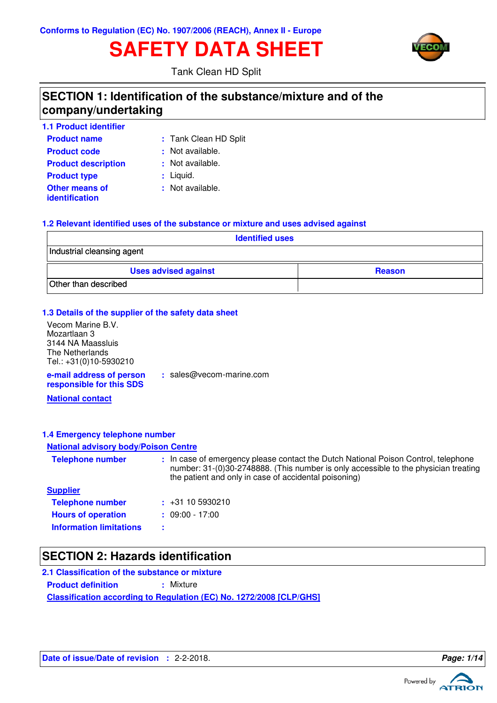# **SAFETY DATA SHEET**



Tank Clean HD Split

# **SECTION 1: Identification of the substance/mixture and of the company/undertaking**

| <b>1.1 Product identifier</b>                  |                       |
|------------------------------------------------|-----------------------|
| <b>Product name</b>                            | : Tank Clean HD Split |
| <b>Product code</b>                            | : Not available.      |
| <b>Product description</b>                     | : Not available.      |
| <b>Product type</b>                            | $:$ Liquid.           |
| <b>Other means of</b><br><i>identification</i> | : Not available.      |

### **1.2 Relevant identified uses of the substance or mixture and uses advised against**

| <b>Identified uses</b>      |               |  |
|-----------------------------|---------------|--|
| Industrial cleansing agent  |               |  |
| <b>Uses advised against</b> | <b>Reason</b> |  |
| Other than described        |               |  |

#### **1.3 Details of the supplier of the safety data sheet**

**e-mail address of person** Vecom Marine B.V. Mozartlaan 3 3144 NA Maassluis The Netherlands Tel.: +31(0)10-5930210

**:** sales@vecom-marine.com

**responsible for this SDS**

**National contact**

#### **1.4 Emergency telephone number**

#### **National advisory body/Poison Centre**

| <b>Telephone number</b>        | : In case of emergency please contact the Dutch National Poison Control, telephone<br>number: 31-(0)30-2748888. (This number is only accessible to the physician treating<br>the patient and only in case of accidental poisoning) |
|--------------------------------|------------------------------------------------------------------------------------------------------------------------------------------------------------------------------------------------------------------------------------|
| <b>Supplier</b>                |                                                                                                                                                                                                                                    |
| <b>Telephone number</b>        | $\div$ +31 10 5930210                                                                                                                                                                                                              |
| <b>Hours of operation</b>      | $: 09:00 - 17:00$                                                                                                                                                                                                                  |
| <b>Information limitations</b> |                                                                                                                                                                                                                                    |

### **SECTION 2: Hazards identification**

**Classification according to Regulation (EC) No. 1272/2008 [CLP/GHS] 2.1 Classification of the substance or mixture Product definition : Mixture** 

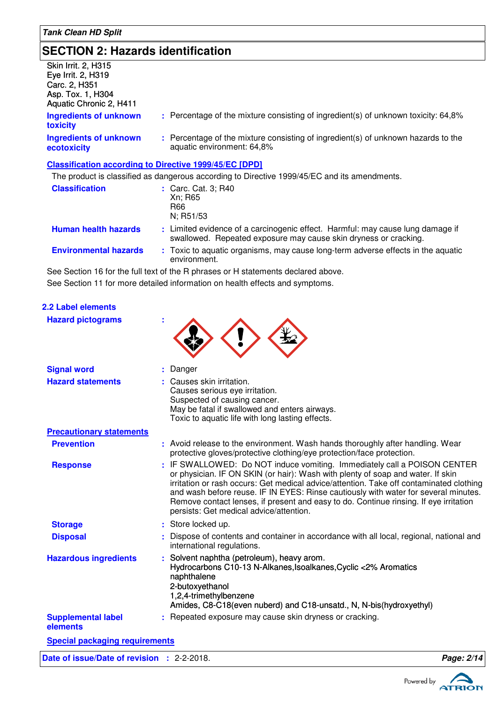**2.2 Label elements**

# **SECTION 2: Hazards identification**

| <b>Skin Irrit. 2, H315</b><br>Eye Irrit. 2, H319<br>Carc. 2, H351<br>Asp. Tox. 1, H304<br>Aquatic Chronic 2, H411 |                                                                                                                                                    |
|-------------------------------------------------------------------------------------------------------------------|----------------------------------------------------------------------------------------------------------------------------------------------------|
| <b>Ingredients of unknown</b><br>toxicity                                                                         | : Percentage of the mixture consisting of ingredient(s) of unknown toxicity: 64,8%                                                                 |
| <b>Ingredients of unknown</b><br>ecotoxicity                                                                      | : Percentage of the mixture consisting of ingredient(s) of unknown hazards to the<br>aquatic environment: 64,8%                                    |
|                                                                                                                   | <b>Classification according to Directive 1999/45/EC [DPD]</b>                                                                                      |
|                                                                                                                   | The product is classified as dangerous according to Directive 1999/45/EC and its amendments.                                                       |
| <b>Classification</b>                                                                                             | : Carc. Cat. 3; R40<br>Xn; R65<br>R66<br>N; R51/53                                                                                                 |
| <b>Human health hazards</b>                                                                                       | : Limited evidence of a carcinogenic effect. Harmful: may cause lung damage if<br>swallowed. Repeated exposure may cause skin dryness or cracking. |
| <b>Environmental hazards</b>                                                                                      | : Toxic to aquatic organisms, may cause long-term adverse effects in the aquatic<br>environment.                                                   |
| .                                                                                                                 | .                                                                                                                                                  |

See Section 11 for more detailed information on health effects and symptoms. See Section 16 for the full text of the R phrases or H statements declared above.

| <b>Hazard pictograms</b>              |                                                                                                                                                                                                                                                                                                                                                                                                                                                                                   |
|---------------------------------------|-----------------------------------------------------------------------------------------------------------------------------------------------------------------------------------------------------------------------------------------------------------------------------------------------------------------------------------------------------------------------------------------------------------------------------------------------------------------------------------|
| <b>Signal word</b>                    | Danger                                                                                                                                                                                                                                                                                                                                                                                                                                                                            |
| <b>Hazard statements</b>              | Causes skin irritation.<br>Causes serious eye irritation.<br>Suspected of causing cancer.<br>May be fatal if swallowed and enters airways.<br>Toxic to aquatic life with long lasting effects.                                                                                                                                                                                                                                                                                    |
| <b>Precautionary statements</b>       |                                                                                                                                                                                                                                                                                                                                                                                                                                                                                   |
| <b>Prevention</b>                     | : Avoid release to the environment. Wash hands thoroughly after handling. Wear<br>protective gloves/protective clothing/eye protection/face protection.                                                                                                                                                                                                                                                                                                                           |
| <b>Response</b>                       | : IF SWALLOWED: Do NOT induce vomiting. Immediately call a POISON CENTER<br>or physician. IF ON SKIN (or hair): Wash with plenty of soap and water. If skin<br>irritation or rash occurs: Get medical advice/attention. Take off contaminated clothing<br>and wash before reuse. IF IN EYES: Rinse cautiously with water for several minutes.<br>Remove contact lenses, if present and easy to do. Continue rinsing. If eye irritation<br>persists: Get medical advice/attention. |
| <b>Storage</b>                        | : Store locked up.                                                                                                                                                                                                                                                                                                                                                                                                                                                                |
| <b>Disposal</b>                       | Dispose of contents and container in accordance with all local, regional, national and<br>international regulations.                                                                                                                                                                                                                                                                                                                                                              |
| <b>Hazardous ingredients</b>          | : Solvent naphtha (petroleum), heavy arom.<br>Hydrocarbons C10-13 N-Alkanes, Isoalkanes, Cyclic <2% Aromatics<br>naphthalene<br>2-butoxyethanol<br>1,2,4-trimethylbenzene<br>Amides, C8-C18(even nuberd) and C18-unsatd., N, N-bis(hydroxyethyl)                                                                                                                                                                                                                                  |
| <b>Supplemental label</b><br>elements | : Repeated exposure may cause skin dryness or cracking.                                                                                                                                                                                                                                                                                                                                                                                                                           |
| <b>Special packaging requirements</b> |                                                                                                                                                                                                                                                                                                                                                                                                                                                                                   |
|                                       |                                                                                                                                                                                                                                                                                                                                                                                                                                                                                   |

**Date of issue/Date of revision :** 2-2-2018. **Page: 2/14**



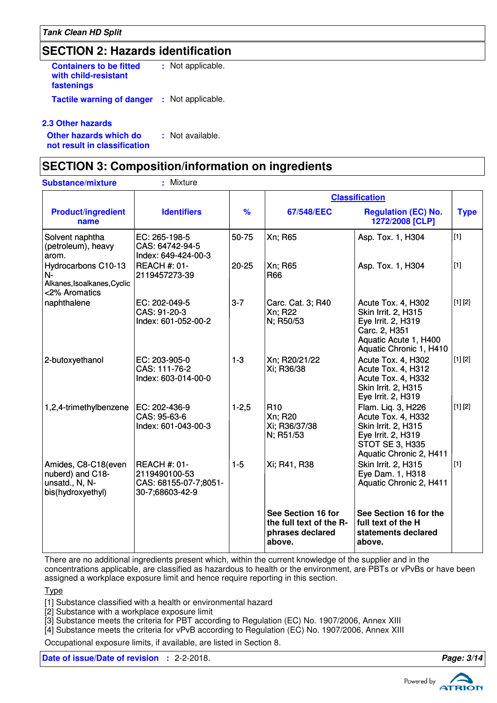# **SECTION 2: Hazards identification**

**Containers to be fitted with child-resistant fastenings** Not applicable. **: Tactile warning of danger : Not applicable.** 

### **2.3 Other hazards**

**Other hazards which do : not result in classification** : Not available.

### **SECTION 3: Composition/information on ingredients**

| <b>Substance/mixture</b>                                                       | : Mixture                                                                        |               |                                                                             |                                                                                                                                      |             |
|--------------------------------------------------------------------------------|----------------------------------------------------------------------------------|---------------|-----------------------------------------------------------------------------|--------------------------------------------------------------------------------------------------------------------------------------|-------------|
|                                                                                |                                                                                  |               |                                                                             | <b>Classification</b>                                                                                                                |             |
| <b>Product/ingredient</b><br>name                                              | <b>Identifiers</b>                                                               | $\frac{9}{6}$ | 67/548/EEC                                                                  | <b>Regulation (EC) No.</b><br>1272/2008 [CLP]                                                                                        | <b>Type</b> |
| Solvent naphtha<br>(petroleum), heavy<br>arom.                                 | EC: 265-198-5<br>CAS: 64742-94-5<br>Index: 649-424-00-3                          | 50-75         | Xn; R65                                                                     | Asp. Tox. 1, H304                                                                                                                    | $[1]$       |
| Hydrocarbons C10-13<br>$N-$<br>Alkanes, Isoalkanes, Cyclic<br><2% Aromatics    | <b>REACH #: 01-</b><br>2119457273-39                                             | 20-25         | Xn; R65<br><b>R66</b>                                                       | Asp. Tox. 1, H304                                                                                                                    | $[1]$       |
| naphthalene                                                                    | EC: 202-049-5<br>CAS: 91-20-3<br>Index: 601-052-00-2                             | $3 - 7$       | Carc. Cat. 3; R40<br>Xn; R22<br>N; R50/53                                   | Acute Tox. 4, H302<br>Skin Irrit. 2, H315<br>Eye Irrit. 2, H319<br>Carc. 2, H351<br>Aquatic Acute 1, H400<br>Aquatic Chronic 1, H410 | [1] [2]     |
| 2-butoxyethanol                                                                | EC: 203-905-0<br>CAS: 111-76-2<br>Index: 603-014-00-0                            | $1-3$         | Xn; R20/21/22<br>Xi; R36/38                                                 | Acute Tox. 4, H302<br>Acute Tox. 4, H312<br>Acute Tox. 4, H332<br>Skin Irrit. 2, H315<br>Eye Irrit. 2, H319                          | [1] [2]     |
| 1,2,4-trimethylbenzene                                                         | EC: 202-436-9<br>CAS: 95-63-6<br>Index: 601-043-00-3                             | $1 - 2,5$     | R <sub>10</sub><br>Xn; R20<br>Xi; R36/37/38<br>N; R51/53                    | Flam. Liq. 3, H226<br>Acute Tox. 4, H332<br>Skin Irrit. 2, H315<br>Eye Irrit. 2, H319<br>STOT SE 3, H335<br>Aquatic Chronic 2, H411  | [1] [2]     |
| Amides, C8-C18(even<br>nuberd) and C18-<br>unsatd., N, N-<br>bis(hydroxyethyl) | <b>REACH #: 01-</b><br>2119490100-53<br>CAS: 68155-07-7;8051-<br>30-7;68603-42-9 | $1-5$         | Xi; R41, R38                                                                | <b>Skin Irrit. 2, H315</b><br>Eye Dam. 1, H318<br>Aquatic Chronic 2, H411                                                            | $\boxed{1}$ |
|                                                                                |                                                                                  |               | See Section 16 for<br>the full text of the R-<br>phrases declared<br>above. | See Section 16 for the<br>full text of the H<br>statements declared<br>above.                                                        |             |

There are no additional ingredients present which, within the current knowledge of the supplier and in the concentrations applicable, are classified as hazardous to health or the environment, are PBTs or vPvBs or have been assigned a workplace exposure limit and hence require reporting in this section.

Type

[1] Substance classified with a health or environmental hazard

[2] Substance with a workplace exposure limit

[3] Substance meets the criteria for PBT according to Regulation (EC) No. 1907/2006, Annex XIII

[4] Substance meets the criteria for vPvB according to Regulation (EC) No. 1907/2006, Annex XIII

Occupational exposure limits, if available, are listed in Section 8.

**Date of issue/Date of revision :** 2-2-2018. **Page: 3/14**

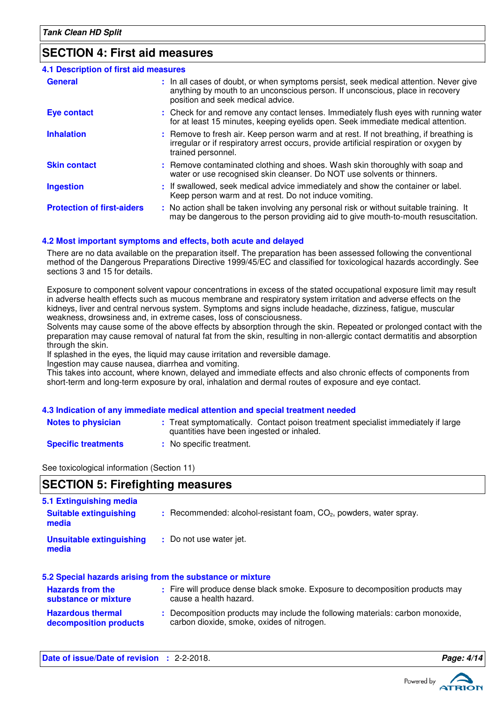### **SECTION 4: First aid measures**

| <b>4.1 Description of first aid measures</b> |                                                                                                                                                                                                             |
|----------------------------------------------|-------------------------------------------------------------------------------------------------------------------------------------------------------------------------------------------------------------|
| <b>General</b>                               | : In all cases of doubt, or when symptoms persist, seek medical attention. Never give<br>anything by mouth to an unconscious person. If unconscious, place in recovery<br>position and seek medical advice. |
| <b>Eye contact</b>                           | : Check for and remove any contact lenses. Immediately flush eyes with running water<br>for at least 15 minutes, keeping eyelids open. Seek immediate medical attention.                                    |
| <b>Inhalation</b>                            | : Remove to fresh air. Keep person warm and at rest. If not breathing, if breathing is<br>irregular or if respiratory arrest occurs, provide artificial respiration or oxygen by<br>trained personnel.      |
| <b>Skin contact</b>                          | : Remove contaminated clothing and shoes. Wash skin thoroughly with soap and<br>water or use recognised skin cleanser. Do NOT use solvents or thinners.                                                     |
| <b>Ingestion</b>                             | : If swallowed, seek medical advice immediately and show the container or label.<br>Keep person warm and at rest. Do not induce vomiting.                                                                   |
| <b>Protection of first-aiders</b>            | : No action shall be taken involving any personal risk or without suitable training. It<br>may be dangerous to the person providing aid to give mouth-to-mouth resuscitation.                               |

### **4.2 Most important symptoms and effects, both acute and delayed**

There are no data available on the preparation itself. The preparation has been assessed following the conventional method of the Dangerous Preparations Directive 1999/45/EC and classified for toxicological hazards accordingly. See sections 3 and 15 for details.

Exposure to component solvent vapour concentrations in excess of the stated occupational exposure limit may result in adverse health effects such as mucous membrane and respiratory system irritation and adverse effects on the kidneys, liver and central nervous system. Symptoms and signs include headache, dizziness, fatigue, muscular weakness, drowsiness and, in extreme cases, loss of consciousness.

Solvents may cause some of the above effects by absorption through the skin. Repeated or prolonged contact with the preparation may cause removal of natural fat from the skin, resulting in non-allergic contact dermatitis and absorption through the skin.

If splashed in the eyes, the liquid may cause irritation and reversible damage.

Ingestion may cause nausea, diarrhea and vomiting.

This takes into account, where known, delayed and immediate effects and also chronic effects of components from short-term and long-term exposure by oral, inhalation and dermal routes of exposure and eye contact.

#### **4.3 Indication of any immediate medical attention and special treatment needed**

- **Notes to physician** : Treat symptomatically. Contact poison treatment specialist immediately if large quantities have been ingested or inhaled.
- **Specific treatments**
- **:** No specific treatment.

See toxicological information (Section 11)

# **SECTION 5: Firefighting measures**

| 5.1 Extinguishing media                         |                                                                                                         |
|-------------------------------------------------|---------------------------------------------------------------------------------------------------------|
| <b>Suitable extinguishing</b><br>media          | $:$ Recommended: alcohol-resistant foam, $CO2$ , powders, water spray.                                  |
| <b>Unsuitable extinguishing</b><br>media        | : Do not use water jet.                                                                                 |
|                                                 | 5.2 Special hazards arising from the substance or mixture                                               |
| <b>Hazards from the</b><br>substance or mixture | : Fire will produce dense black smoke. Exposure to decomposition products may<br>cause a health hazard. |

**Hazardous thermal decomposition products :** Decomposition products may include the following materials: carbon monoxide, carbon dioxide, smoke, oxides of nitrogen.

**Date of issue/Date of revision :** 2-2-2018. **Page: 4/1444 Page: 4/1444 Page: 4/1444 Page: 4/1444 Page: 4/1444 Page: 4/1444 Page: 4/1444 Page: 4/1444 Page: 4/1444 Page: 4/1444 Page: 4/1444 Page: 4/1444 Page: 4/1444 Page: 4** 

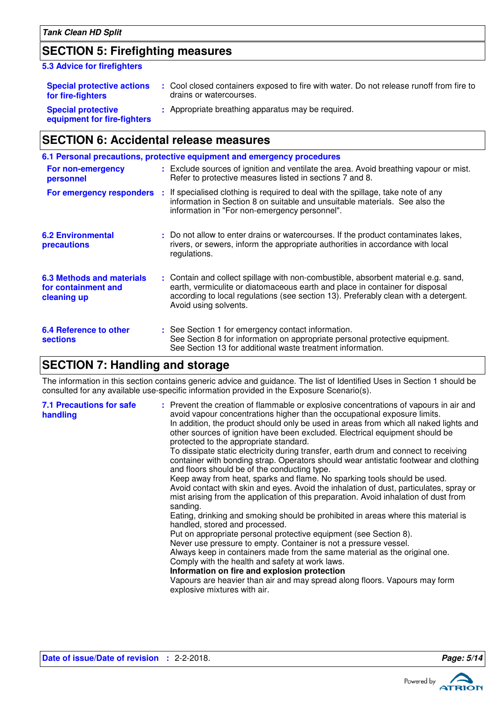### **SECTION 5: Firefighting measures**

#### **5.3 Advice for firefighters**

| <b>Special protective actions</b><br>for fire-fighters   | Cool closed containers exposed to fire with water. Do not release runoff from fire to<br>drains or watercourses. |
|----------------------------------------------------------|------------------------------------------------------------------------------------------------------------------|
| <b>Special protective</b><br>equipment for fire-fighters | : Appropriate breathing apparatus may be required.                                                               |

# **SECTION 6: Accidental release measures**

|                                                                        | 6.1 Personal precautions, protective equipment and emergency procedures                                                                                                                                                                                                            |
|------------------------------------------------------------------------|------------------------------------------------------------------------------------------------------------------------------------------------------------------------------------------------------------------------------------------------------------------------------------|
| For non-emergency<br>personnel                                         | : Exclude sources of ignition and ventilate the area. Avoid breathing vapour or mist.<br>Refer to protective measures listed in sections 7 and 8.                                                                                                                                  |
|                                                                        | For emergency responders : If specialised clothing is required to deal with the spillage, take note of any<br>information in Section 8 on suitable and unsuitable materials. See also the<br>information in "For non-emergency personnel".                                         |
| <b>6.2 Environmental</b><br>precautions                                | : Do not allow to enter drains or watercourses. If the product contaminates lakes,<br>rivers, or sewers, inform the appropriate authorities in accordance with local<br>regulations.                                                                                               |
| <b>6.3 Methods and materials</b><br>for containment and<br>cleaning up | : Contain and collect spillage with non-combustible, absorbent material e.g. sand,<br>earth, vermiculite or diatomaceous earth and place in container for disposal<br>according to local regulations (see section 13). Preferably clean with a detergent.<br>Avoid using solvents. |
| 6.4 Reference to other<br><b>sections</b>                              | : See Section 1 for emergency contact information.<br>See Section 8 for information on appropriate personal protective equipment.<br>See Section 13 for additional waste treatment information.                                                                                    |

# **SECTION 7: Handling and storage**

The information in this section contains generic advice and guidance. The list of Identified Uses in Section 1 should be consulted for any available use-specific information provided in the Exposure Scenario(s).

| <b>7.1 Precautions for safe</b><br>handling | : Prevent the creation of flammable or explosive concentrations of vapours in air and<br>avoid vapour concentrations higher than the occupational exposure limits.<br>In addition, the product should only be used in areas from which all naked lights and<br>other sources of ignition have been excluded. Electrical equipment should be<br>protected to the appropriate standard.<br>To dissipate static electricity during transfer, earth drum and connect to receiving<br>container with bonding strap. Operators should wear antistatic footwear and clothing<br>and floors should be of the conducting type.<br>Keep away from heat, sparks and flame. No sparking tools should be used.<br>Avoid contact with skin and eyes. Avoid the inhalation of dust, particulates, spray or<br>mist arising from the application of this preparation. Avoid inhalation of dust from<br>sanding.<br>Eating, drinking and smoking should be prohibited in areas where this material is<br>handled, stored and processed.<br>Put on appropriate personal protective equipment (see Section 8).<br>Never use pressure to empty. Container is not a pressure vessel.<br>Always keep in containers made from the same material as the original one.<br>Comply with the health and safety at work laws.<br>Information on fire and explosion protection<br>Vapours are heavier than air and may spread along floors. Vapours may form<br>explosive mixtures with air. |
|---------------------------------------------|----------------------------------------------------------------------------------------------------------------------------------------------------------------------------------------------------------------------------------------------------------------------------------------------------------------------------------------------------------------------------------------------------------------------------------------------------------------------------------------------------------------------------------------------------------------------------------------------------------------------------------------------------------------------------------------------------------------------------------------------------------------------------------------------------------------------------------------------------------------------------------------------------------------------------------------------------------------------------------------------------------------------------------------------------------------------------------------------------------------------------------------------------------------------------------------------------------------------------------------------------------------------------------------------------------------------------------------------------------------------------------------------------------------------------------------------------------------|
|---------------------------------------------|----------------------------------------------------------------------------------------------------------------------------------------------------------------------------------------------------------------------------------------------------------------------------------------------------------------------------------------------------------------------------------------------------------------------------------------------------------------------------------------------------------------------------------------------------------------------------------------------------------------------------------------------------------------------------------------------------------------------------------------------------------------------------------------------------------------------------------------------------------------------------------------------------------------------------------------------------------------------------------------------------------------------------------------------------------------------------------------------------------------------------------------------------------------------------------------------------------------------------------------------------------------------------------------------------------------------------------------------------------------------------------------------------------------------------------------------------------------|



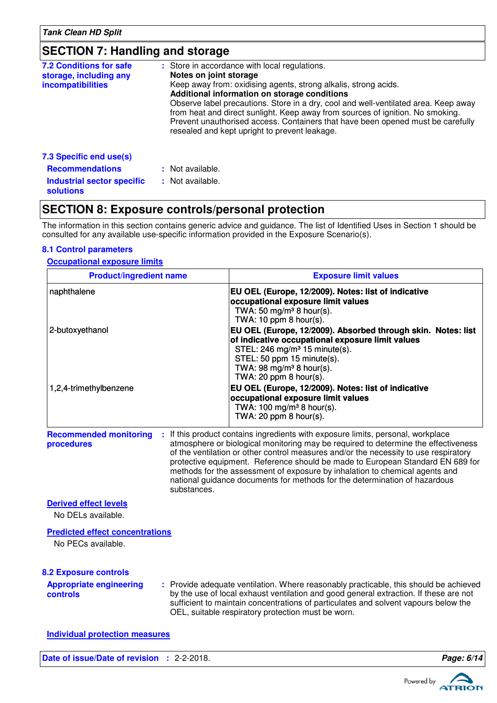# **SECTION 7: Handling and storage**

| <b>7.2 Conditions for safe</b><br>storage, including any<br><i>incompatibilities</i> | : Store in accordance with local regulations.<br>Notes on joint storage<br>Keep away from: oxidising agents, strong alkalis, strong acids.<br>Additional information on storage conditions<br>Observe label precautions. Store in a dry, cool and well-ventilated area. Keep away<br>from heat and direct sunlight. Keep away from sources of ignition. No smoking.<br>Prevent unauthorised access. Containers that have been opened must be carefully<br>resealed and kept upright to prevent leakage. |
|--------------------------------------------------------------------------------------|---------------------------------------------------------------------------------------------------------------------------------------------------------------------------------------------------------------------------------------------------------------------------------------------------------------------------------------------------------------------------------------------------------------------------------------------------------------------------------------------------------|
| 7.3 Specific end use(s)                                                              |                                                                                                                                                                                                                                                                                                                                                                                                                                                                                                         |
| <b>Recommendations</b>                                                               | : Not available.                                                                                                                                                                                                                                                                                                                                                                                                                                                                                        |
| Industrial sector specific<br><b>solutions</b>                                       | : Not available.                                                                                                                                                                                                                                                                                                                                                                                                                                                                                        |

# **SECTION 8: Exposure controls/personal protection**

The information in this section contains generic advice and guidance. The list of Identified Uses in Section 1 should be consulted for any available use-specific information provided in the Exposure Scenario(s).

### **8.1 Control parameters**

### **Occupational exposure limits**

| <b>Product/ingredient name</b>                               | <b>Exposure limit values</b>                                                                                                                                                                                                                                                                                                                                                                                                                                                                                  |
|--------------------------------------------------------------|---------------------------------------------------------------------------------------------------------------------------------------------------------------------------------------------------------------------------------------------------------------------------------------------------------------------------------------------------------------------------------------------------------------------------------------------------------------------------------------------------------------|
| naphthalene                                                  | EU OEL (Europe, 12/2009). Notes: list of indicative<br>occupational exposure limit values<br>TWA: 50 mg/m <sup>3</sup> 8 hour(s).<br>TWA: $10$ ppm $8$ hour(s).                                                                                                                                                                                                                                                                                                                                               |
| 2-butoxyethanol                                              | EU OEL (Europe, 12/2009). Absorbed through skin. Notes: list<br>of indicative occupational exposure limit values<br>STEL: 246 mg/m <sup>3</sup> 15 minute(s).<br>STEL: 50 ppm 15 minute(s).<br>TWA: 98 mg/m <sup>3</sup> 8 hour(s).<br>TWA: $20$ ppm $8$ hour(s).                                                                                                                                                                                                                                             |
| 1,2,4-trimethylbenzene                                       | EU OEL (Europe, 12/2009). Notes: list of indicative<br>occupational exposure limit values<br>TWA: 100 mg/m <sup>3</sup> 8 hour(s).<br>TWA: 20 ppm $8$ hour(s).                                                                                                                                                                                                                                                                                                                                                |
| <b>Recommended monitoring</b><br>procedures<br>substances.   | : If this product contains ingredients with exposure limits, personal, workplace<br>atmosphere or biological monitoring may be required to determine the effectiveness<br>of the ventilation or other control measures and/or the necessity to use respiratory<br>protective equipment. Reference should be made to European Standard EN 689 for<br>methods for the assessment of exposure by inhalation to chemical agents and<br>national guidance documents for methods for the determination of hazardous |
| <b>Derived effect levels</b><br>No DELs available.           |                                                                                                                                                                                                                                                                                                                                                                                                                                                                                                               |
| <b>Predicted effect concentrations</b><br>No PECs available. |                                                                                                                                                                                                                                                                                                                                                                                                                                                                                                               |
| <b>8.2 Exposure controls</b>                                 |                                                                                                                                                                                                                                                                                                                                                                                                                                                                                                               |
| <b>Appropriate engineering</b><br>controls                   | : Provide adequate ventilation. Where reasonably practicable, this should be achieved<br>by the use of local exhaust ventilation and good general extraction. If these are not<br>sufficient to maintain concentrations of particulates and solvent vapours below the<br>OEL, suitable respiratory protection must be worn.                                                                                                                                                                                   |
| <b>Individual protection measures</b>                        |                                                                                                                                                                                                                                                                                                                                                                                                                                                                                                               |



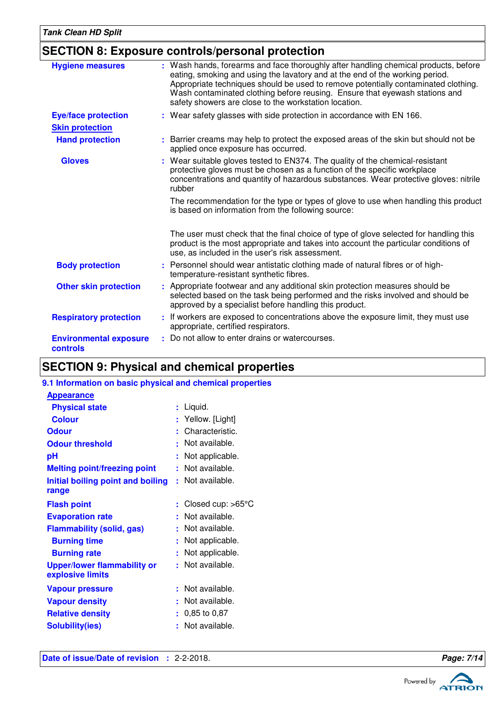### **SECTION 8: Exposure controls/personal protection**

| <b>Hygiene measures</b>                   | : Wash hands, forearms and face thoroughly after handling chemical products, before<br>eating, smoking and using the lavatory and at the end of the working period.<br>Appropriate techniques should be used to remove potentially contaminated clothing.<br>Wash contaminated clothing before reusing. Ensure that eyewash stations and<br>safety showers are close to the workstation location. |
|-------------------------------------------|---------------------------------------------------------------------------------------------------------------------------------------------------------------------------------------------------------------------------------------------------------------------------------------------------------------------------------------------------------------------------------------------------|
| <b>Eye/face protection</b>                | : Wear safety glasses with side protection in accordance with EN 166.                                                                                                                                                                                                                                                                                                                             |
| <b>Skin protection</b>                    |                                                                                                                                                                                                                                                                                                                                                                                                   |
| <b>Hand protection</b>                    | : Barrier creams may help to protect the exposed areas of the skin but should not be<br>applied once exposure has occurred.                                                                                                                                                                                                                                                                       |
| <b>Gloves</b>                             | : Wear suitable gloves tested to EN374. The quality of the chemical-resistant<br>protective gloves must be chosen as a function of the specific workplace<br>concentrations and quantity of hazardous substances. Wear protective gloves: nitrile<br>rubber                                                                                                                                       |
|                                           | The recommendation for the type or types of glove to use when handling this product<br>is based on information from the following source:                                                                                                                                                                                                                                                         |
|                                           | The user must check that the final choice of type of glove selected for handling this<br>product is the most appropriate and takes into account the particular conditions of<br>use, as included in the user's risk assessment.                                                                                                                                                                   |
| <b>Body protection</b>                    | Personnel should wear antistatic clothing made of natural fibres or of high-<br>temperature-resistant synthetic fibres.                                                                                                                                                                                                                                                                           |
| <b>Other skin protection</b>              | : Appropriate footwear and any additional skin protection measures should be<br>selected based on the task being performed and the risks involved and should be<br>approved by a specialist before handling this product.                                                                                                                                                                         |
| <b>Respiratory protection</b>             | : If workers are exposed to concentrations above the exposure limit, they must use<br>appropriate, certified respirators.                                                                                                                                                                                                                                                                         |
| <b>Environmental exposure</b><br>controls | : Do not allow to enter drains or watercourses.                                                                                                                                                                                                                                                                                                                                                   |

# **SECTION 9: Physical and chemical properties**

### **9.1 Information on basic physical and chemical properties**

| <b>Appearance</b>                                      |    |                             |
|--------------------------------------------------------|----|-----------------------------|
| <b>Physical state</b>                                  |    | : Liquid.                   |
| <b>Colour</b>                                          |    | : Yellow. [Light]           |
| <b>Odour</b>                                           |    | Characteristic.             |
| <b>Odour threshold</b>                                 | ٠  | Not available.              |
| рH                                                     |    | Not applicable.             |
| <b>Melting point/freezing point</b>                    |    | Not available.              |
| Initial boiling point and boiling<br>range             |    | Not available.              |
| <b>Flash point</b>                                     | ÷. | Closed cup: $>65^{\circ}$ C |
| <b>Evaporation rate</b>                                | ٠  | Not available.              |
| <b>Flammability (solid, gas)</b>                       | ÷. | Not available.              |
| <b>Burning time</b>                                    |    | Not applicable.             |
| <b>Burning rate</b>                                    | ÷. | Not applicable.             |
| <b>Upper/lower flammability or</b><br>explosive limits |    | Not available.              |
| <b>Vapour pressure</b>                                 | ŧ. | Not available.              |
| <b>Vapour density</b>                                  |    | Not available.              |
| <b>Relative density</b>                                | ÷. | 0,85 to 0,87                |
| <b>Solubility(ies)</b>                                 |    | Not available.              |



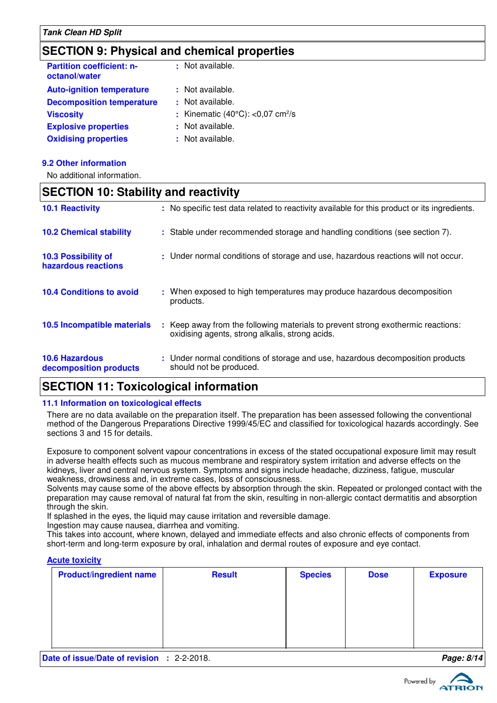### **SECTION 9: Physical and chemical properties**

| <b>Partition coefficient: n-</b><br>octanol/water | : Not available.                                       |
|---------------------------------------------------|--------------------------------------------------------|
| <b>Auto-ignition temperature</b>                  | : Not available.                                       |
| <b>Decomposition temperature</b>                  | : Not available.                                       |
| <b>Viscosity</b>                                  | : Kinematic $(40^{\circ}$ C): <0,07 cm <sup>2</sup> /s |
| <b>Explosive properties</b>                       | : Not available.                                       |
| <b>Oxidising properties</b>                       | : Not available.                                       |
|                                                   |                                                        |

#### **9.2 Other information**

No additional information.

### **SECTION 10: Stability and reactivity**  $\pm$  Keep away from the following materials to prevent strong exothermic reactions: oxidising agents, strong alkalis, strong acids. **10.6 Hazardous decomposition products 10.4 Conditions to avoid** : When exposed to high temperatures may produce hazardous decomposition products. **10.2 Chemical stability :** Stable under recommended storage and handling conditions (see section 7). **:** Under normal conditions of storage and use, hazardous decomposition products **10.5 Incompatible materials : 10.3 Possibility of hazardous reactions :** Under normal conditions of storage and use, hazardous reactions will not occur. **10.1 Reactivity** : No specific test data related to reactivity available for this product or its ingredients. should not be produced.

## **SECTION 11: Toxicological information**

### **11.1 Information on toxicological effects**

There are no data available on the preparation itself. The preparation has been assessed following the conventional method of the Dangerous Preparations Directive 1999/45/EC and classified for toxicological hazards accordingly. See sections 3 and 15 for details.

Exposure to component solvent vapour concentrations in excess of the stated occupational exposure limit may result in adverse health effects such as mucous membrane and respiratory system irritation and adverse effects on the kidneys, liver and central nervous system. Symptoms and signs include headache, dizziness, fatigue, muscular weakness, drowsiness and, in extreme cases, loss of consciousness.

Solvents may cause some of the above effects by absorption through the skin. Repeated or prolonged contact with the preparation may cause removal of natural fat from the skin, resulting in non-allergic contact dermatitis and absorption through the skin.

If splashed in the eyes, the liquid may cause irritation and reversible damage.

Ingestion may cause nausea, diarrhea and vomiting.

This takes into account, where known, delayed and immediate effects and also chronic effects of components from short-term and long-term exposure by oral, inhalation and dermal routes of exposure and eye contact.

#### **Acute toxicity**

| <b>Product/ingredient name</b> | <b>Result</b> | <b>Species</b> | <b>Dose</b> | <b>Exposure</b> |
|--------------------------------|---------------|----------------|-------------|-----------------|
|                                |               |                |             |                 |
|                                |               |                |             |                 |
|                                |               |                |             |                 |
|                                |               |                |             |                 |

**Date of issue/Date of revision :** 2-2-2018. **Page: 8/1444 Page: 8/1444 Page: 8/1444 Page: 8/1444 Page: 8/1444 Page: 8/1444 Page: 8/1444 Page: 8/1444 Page: 8/1444 Page: 8/1444 Page: 8/1444 Page: 8/1444 Page: 8/1444 Page: 8** 

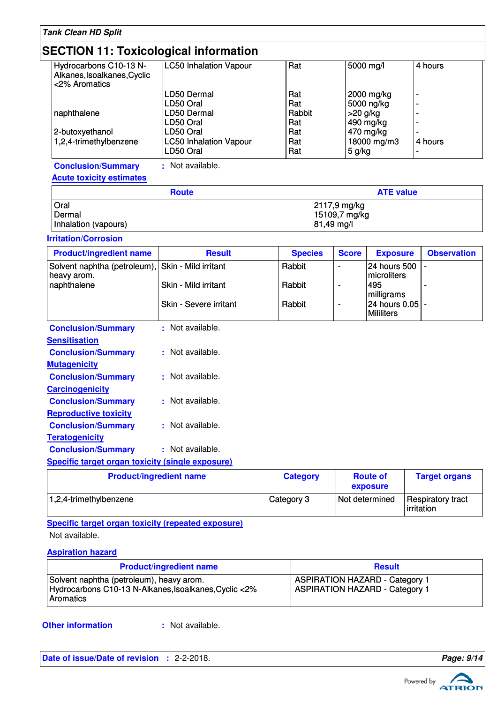| <b>Tank Clean HD Split</b>                                                            |                                                                                                                 |                                                  |  |                          |                                                                   |                          |
|---------------------------------------------------------------------------------------|-----------------------------------------------------------------------------------------------------------------|--------------------------------------------------|--|--------------------------|-------------------------------------------------------------------|--------------------------|
| <b>SECTION 11: Toxicological information</b>                                          |                                                                                                                 |                                                  |  |                          |                                                                   |                          |
| Hydrocarbons C10-13 N-<br>Alkanes, Isoalkanes, Cyclic<br><2% Aromatics                | <b>LC50 Inhalation Vapour</b>                                                                                   | Rat                                              |  |                          | 5000 mg/l                                                         | 4 hours                  |
| naphthalene<br>2-butoxyethanol<br>1,2,4-trimethylbenzene                              | LD50 Dermal<br>LD50 Oral<br>LD50 Dermal<br>LD50 Oral<br>LD50 Oral<br><b>LC50 Inhalation Vapour</b><br>LD50 Oral | Rat<br>Rat<br>Rabbit<br>Rat<br>Rat<br>Rat<br>Rat |  | $>20$ g/kg<br>$5$ g/kg   | 2000 mg/kg<br>5000 ng/kg<br>490 mg/kg<br>470 mg/kg<br>18000 mg/m3 | 4 hours                  |
| <b>Conclusion/Summary</b>                                                             | : Not available.                                                                                                |                                                  |  |                          |                                                                   |                          |
| <b>Acute toxicity estimates</b>                                                       |                                                                                                                 |                                                  |  |                          |                                                                   |                          |
|                                                                                       | <b>Route</b>                                                                                                    |                                                  |  |                          | <b>ATE value</b>                                                  |                          |
| Oral<br>2117,9 mg/kg<br>Dermal<br>15109,7 mg/kg<br>81,49 mg/l<br>Inhalation (vapours) |                                                                                                                 |                                                  |  |                          |                                                                   |                          |
| <b>Irritation/Corrosion</b>                                                           |                                                                                                                 |                                                  |  |                          |                                                                   |                          |
| <b>Product/ingredient name</b>                                                        | <b>Result</b>                                                                                                   | <b>Species</b>                                   |  | <b>Score</b>             | <b>Exposure</b>                                                   | <b>Observation</b>       |
| Solvent naphtha (petroleum),                                                          | Skin - Mild irritant                                                                                            | Rabbit                                           |  | $\overline{\phantom{0}}$ | 24 hours 500                                                      | $\overline{\phantom{a}}$ |
| heavy arom.<br>naphthalene                                                            | Skin - Mild irritant                                                                                            | Rabbit                                           |  | ÷                        | microliters<br>495<br>milligrams                                  |                          |
|                                                                                       | Skin - Severe irritant                                                                                          | Rabbit                                           |  | ÷                        | 24 hours 0.05<br><b>Mililiters</b>                                |                          |
| <b>Conclusion/Summary</b>                                                             | : Not available.                                                                                                |                                                  |  |                          |                                                                   |                          |
| <b>Sensitisation</b>                                                                  |                                                                                                                 |                                                  |  |                          |                                                                   |                          |
| <b>Conclusion/Summary</b>                                                             | : Not available.                                                                                                |                                                  |  |                          |                                                                   |                          |
| <b>Mutagenicity</b>                                                                   |                                                                                                                 |                                                  |  |                          |                                                                   |                          |
| <b>Conclusion/Summary</b>                                                             | : Not available.                                                                                                |                                                  |  |                          |                                                                   |                          |
| <b>Carcinogenicity</b>                                                                |                                                                                                                 |                                                  |  |                          |                                                                   |                          |
| <b>Conclusion/Summary</b>                                                             | : Not available.                                                                                                |                                                  |  |                          |                                                                   |                          |
| <b>Reproductive toxicity</b>                                                          |                                                                                                                 |                                                  |  |                          |                                                                   |                          |
| <b>Conclusion/Summary</b>                                                             | : Not available.                                                                                                |                                                  |  |                          |                                                                   |                          |
| <b>Teratogenicity</b>                                                                 |                                                                                                                 |                                                  |  |                          |                                                                   |                          |
| <b>Conclusion/Summary</b>                                                             | : Not available.                                                                                                |                                                  |  |                          |                                                                   |                          |
| <b>Specific target organ toxicity (single exposure)</b>                               |                                                                                                                 |                                                  |  |                          |                                                                   |                          |
| <b>Product/ingredient name</b>                                                        |                                                                                                                 | <b>Category</b>                                  |  |                          | <b>Route of</b>                                                   | <b>Target organs</b>     |

| <b>Product/ingredient name</b> | <b>Category</b> | <b>Route of</b><br><b>exposure</b> | <b>Target organs</b>                    |
|--------------------------------|-----------------|------------------------------------|-----------------------------------------|
| 1,2,4-trimethylbenzene         | Category 3      | Not determined                     | Respiratory tract<br><b>lirritation</b> |

**Specific target organ toxicity (repeated exposure)**

Not available.

### **Aspiration hazard**

| <b>Product/ingredient name</b>                                                                                 | <b>Result</b>                                                                  |
|----------------------------------------------------------------------------------------------------------------|--------------------------------------------------------------------------------|
| Solvent naphtha (petroleum), heavy arom.<br>Hydrocarbons C10-13 N-Alkanes, Isoalkanes, Cyclic <2%<br>Aromatics | <b>ASPIRATION HAZARD - Category 1</b><br><b>ASPIRATION HAZARD - Category 1</b> |

**Other information :**

: Not available.

**Date of issue/Date of revision :** 2-2-2018. **Page: 9/14** 

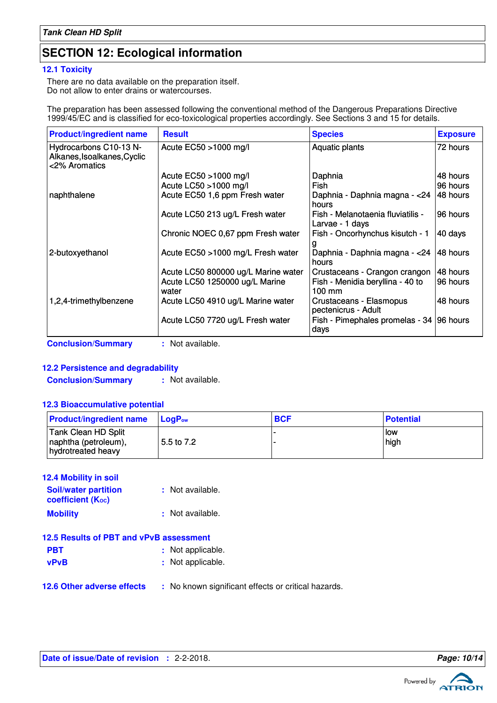# **SECTION 12: Ecological information**

### **12.1 Toxicity**

There are no data available on the preparation itself. Do not allow to enter drains or watercourses.

The preparation has been assessed following the conventional method of the Dangerous Preparations Directive 1999/45/EC and is classified for eco-toxicological properties accordingly. See Sections 3 and 15 for details.

| <b>Product/ingredient name</b>                                         | <b>Result</b>                           | <b>Species</b>                                       | <b>Exposure</b> |
|------------------------------------------------------------------------|-----------------------------------------|------------------------------------------------------|-----------------|
| Hydrocarbons C10-13 N-<br>Alkanes, Isoalkanes, Cyclic<br><2% Aromatics | Acute EC50 >1000 mg/l                   | Aquatic plants                                       | 72 hours        |
|                                                                        | Acute EC50 >1000 mg/l                   | Daphnia                                              | 48 hours        |
|                                                                        | Acute LC50 >1000 mg/l                   | Fish                                                 | 96 hours        |
| naphthalene                                                            | Acute EC50 1,6 ppm Fresh water          | Daphnia - Daphnia magna - < 24<br>hours              | I48 hours       |
|                                                                        | Acute LC50 213 ug/L Fresh water         | Fish - Melanotaenia fluviatilis -<br>Larvae - 1 days | 196 hours       |
|                                                                        | Chronic NOEC 0,67 ppm Fresh water       | Fish - Oncorhynchus kisutch - 1                      | 40 days         |
| 2-butoxyethanol                                                        | Acute EC50 >1000 mg/L Fresh water       | Daphnia - Daphnia magna - < 24<br>hours              | 48 hours        |
|                                                                        | Acute LC50 800000 ug/L Marine water     | Crustaceans - Crangon crangon                        | 48 hours        |
|                                                                        | Acute LC50 1250000 ug/L Marine<br>water | Fish - Menidia beryllina - 40 to<br>$100 \text{ mm}$ | 96 hours        |
| 1,2,4-trimethylbenzene                                                 | Acute LC50 4910 ug/L Marine water       | Crustaceans - Elasmopus<br>pectenicrus - Adult       | 48 hours        |
|                                                                        | Acute LC50 7720 ug/L Fresh water        | Fish - Pimephales promelas - 34<br>days              | 96 hours        |
| <b>Conclusion/Summary</b>                                              | : Not available.                        |                                                      |                 |

### **12.2 Persistence and degradability**

**Conclusion/Summary :** Not available.

### **12.3 Bioaccumulative potential**

| <b>Product/ingredient name</b>                                    | $Loa P_{ow}$ | <b>BCF</b> | <b>Potential</b> |
|-------------------------------------------------------------------|--------------|------------|------------------|
| Tank Clean HD Split<br>naphtha (petroleum),<br>hydrotreated heavy | 5.5 to 7.2   |            | low<br>high      |

| <b>12.4 Mobility in soil</b>                                         |                  |
|----------------------------------------------------------------------|------------------|
| <b>Soil/water partition</b><br><b>coefficient</b> (K <sub>oc</sub> ) | : Not available. |
| <b>Mobility</b>                                                      | : Not available. |

|             | 12.5 Results of PBT and vPvB assessment |  |
|-------------|-----------------------------------------|--|
| <b>PBT</b>  | : Not applicable.                       |  |
| <b>vPvB</b> | : Not applicable.                       |  |
|             |                                         |  |

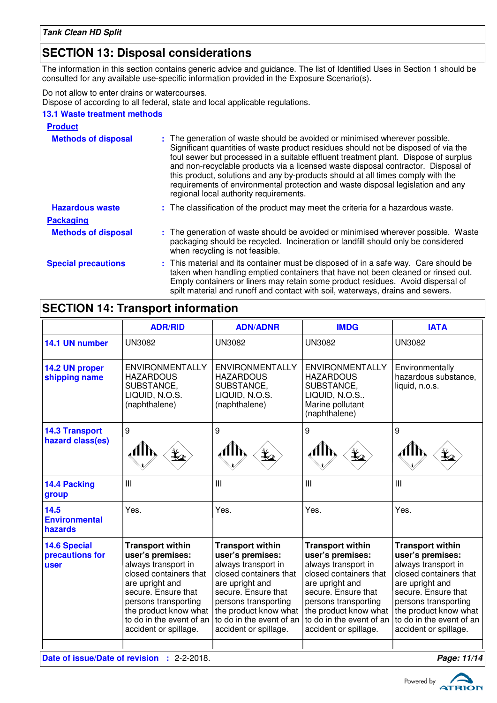# **SECTION 13: Disposal considerations**

The information in this section contains generic advice and guidance. The list of Identified Uses in Section 1 should be consulted for any available use-specific information provided in the Exposure Scenario(s).

Do not allow to enter drains or watercourses.

Dispose of according to all federal, state and local applicable regulations.

### **13.1 Waste treatment methods**

| <b>Product</b>             |                                                                                                                                                                                                                                                                                                                                                                                                                                                                                                                                                               |
|----------------------------|---------------------------------------------------------------------------------------------------------------------------------------------------------------------------------------------------------------------------------------------------------------------------------------------------------------------------------------------------------------------------------------------------------------------------------------------------------------------------------------------------------------------------------------------------------------|
| <b>Methods of disposal</b> | : The generation of waste should be avoided or minimised wherever possible.<br>Significant quantities of waste product residues should not be disposed of via the<br>foul sewer but processed in a suitable effluent treatment plant. Dispose of surplus<br>and non-recyclable products via a licensed waste disposal contractor. Disposal of<br>this product, solutions and any by-products should at all times comply with the<br>requirements of environmental protection and waste disposal legislation and any<br>regional local authority requirements. |
| <b>Hazardous waste</b>     | : The classification of the product may meet the criteria for a hazardous waste.                                                                                                                                                                                                                                                                                                                                                                                                                                                                              |
| <b>Packaging</b>           |                                                                                                                                                                                                                                                                                                                                                                                                                                                                                                                                                               |
| <b>Methods of disposal</b> | : The generation of waste should be avoided or minimised wherever possible. Waste<br>packaging should be recycled. Incineration or landfill should only be considered<br>when recycling is not feasible.                                                                                                                                                                                                                                                                                                                                                      |
| <b>Special precautions</b> | : This material and its container must be disposed of in a safe way. Care should be<br>taken when handling emptied containers that have not been cleaned or rinsed out.<br>Empty containers or liners may retain some product residues. Avoid dispersal of<br>spilt material and runoff and contact with soil, waterways, drains and sewers.                                                                                                                                                                                                                  |

# **SECTION 14: Transport information**

|                                                | <b>ADR/RID</b>                                                                                                                                                                                                                               | <b>ADN/ADNR</b>                                                                                                                                                                                                                              | <b>IMDG</b>                                                                                                                                                                                                                                  | <b>IATA</b>                                                                                                                                                                                                                                  |
|------------------------------------------------|----------------------------------------------------------------------------------------------------------------------------------------------------------------------------------------------------------------------------------------------|----------------------------------------------------------------------------------------------------------------------------------------------------------------------------------------------------------------------------------------------|----------------------------------------------------------------------------------------------------------------------------------------------------------------------------------------------------------------------------------------------|----------------------------------------------------------------------------------------------------------------------------------------------------------------------------------------------------------------------------------------------|
| 14.1 UN number                                 | <b>UN3082</b>                                                                                                                                                                                                                                | <b>UN3082</b>                                                                                                                                                                                                                                | <b>UN3082</b>                                                                                                                                                                                                                                | <b>UN3082</b>                                                                                                                                                                                                                                |
| 14.2 UN proper<br>shipping name                | <b>ENVIRONMENTALLY</b><br><b>HAZARDOUS</b><br>SUBSTANCE,<br>LIQUID, N.O.S.<br>(naphthalene)                                                                                                                                                  | <b>ENVIRONMENTALLY</b><br><b>HAZARDOUS</b><br>SUBSTANCE,<br>LIQUID, N.O.S.<br>(naphthalene)                                                                                                                                                  | <b>ENVIRONMENTALLY</b><br><b>HAZARDOUS</b><br>SUBSTANCE,<br>LIQUID, N.O.S<br>Marine pollutant<br>(naphthalene)                                                                                                                               | Environmentally<br>hazardous substance,<br>liquid, n.o.s.                                                                                                                                                                                    |
| <b>14.3 Transport</b><br>hazard class(es)      | 9                                                                                                                                                                                                                                            | 9                                                                                                                                                                                                                                            | 9                                                                                                                                                                                                                                            | 9                                                                                                                                                                                                                                            |
| 14.4 Packing<br>group                          | III                                                                                                                                                                                                                                          | III                                                                                                                                                                                                                                          | III                                                                                                                                                                                                                                          | Ш                                                                                                                                                                                                                                            |
| 14.5<br><b>Environmental</b><br>hazards        | Yes.                                                                                                                                                                                                                                         | Yes.                                                                                                                                                                                                                                         | Yes.                                                                                                                                                                                                                                         | Yes.                                                                                                                                                                                                                                         |
| <b>14.6 Special</b><br>precautions for<br>user | <b>Transport within</b><br>user's premises:<br>always transport in<br>closed containers that<br>are upright and<br>secure. Ensure that<br>persons transporting<br>the product know what<br>to do in the event of an<br>accident or spillage. | <b>Transport within</b><br>user's premises:<br>always transport in<br>closed containers that<br>are upright and<br>secure. Ensure that<br>persons transporting<br>the product know what<br>to do in the event of an<br>accident or spillage. | <b>Transport within</b><br>user's premises:<br>always transport in<br>closed containers that<br>are upright and<br>secure. Ensure that<br>persons transporting<br>the product know what<br>to do in the event of an<br>accident or spillage. | <b>Transport within</b><br>user's premises:<br>always transport in<br>closed containers that<br>are upright and<br>secure. Ensure that<br>persons transporting<br>the product know what<br>to do in the event of an<br>accident or spillage. |
|                                                | Date of issue/Date of revision : 2-2-2018.<br>Page: 11/14                                                                                                                                                                                    |                                                                                                                                                                                                                                              |                                                                                                                                                                                                                                              |                                                                                                                                                                                                                                              |

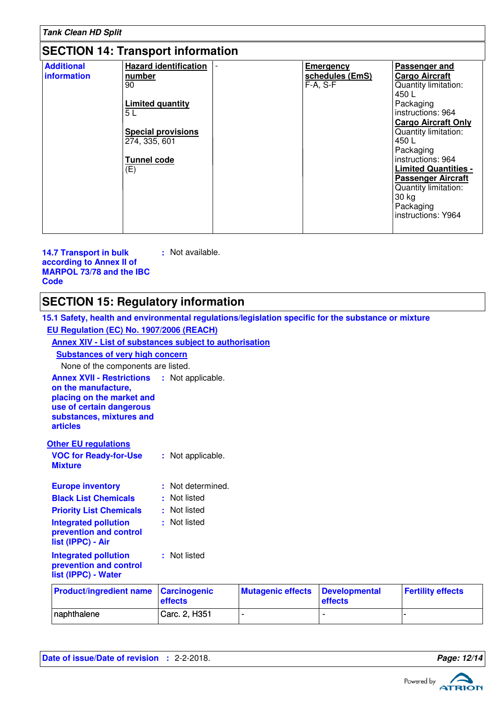| <b>Tank Clean HD Split</b>       |                                                                                                                                                    |                                                   |                                                                                                                                                                                                                                                                                                                                            |  |
|----------------------------------|----------------------------------------------------------------------------------------------------------------------------------------------------|---------------------------------------------------|--------------------------------------------------------------------------------------------------------------------------------------------------------------------------------------------------------------------------------------------------------------------------------------------------------------------------------------------|--|
|                                  | <b>SECTION 14: Transport information</b>                                                                                                           |                                                   |                                                                                                                                                                                                                                                                                                                                            |  |
| <b>Additional</b><br>information | <b>Hazard identification</b><br>number<br>90<br><b>Limited quantity</b><br>5 L<br><b>Special provisions</b><br>274, 335, 601<br>Tunnel code<br>(E) | <b>Emergency</b><br>schedules (EmS)<br>$F-A, S-F$ | Passenger and<br><b>Cargo Aircraft</b><br>Quantity limitation:<br>450 L<br>Packaging<br>instructions: 964<br><b>Cargo Aircraft Only</b><br>Quantity limitation:<br>450 L<br>Packaging<br>instructions: 964<br><b>Limited Quantities -</b><br><b>Passenger Aircraft</b><br>Quantity limitation:<br>30 kg<br>Packaging<br>instructions: Y964 |  |

**14.7 Transport in bulk according to Annex II of MARPOL 73/78 and the IBC Code :** Not available.

# **SECTION 15: Regulatory information**

| 15.1 Safety, health and environmental regulations/legislation specific for the substance or mixture                                                                               |                                |                          |                                 |                          |
|-----------------------------------------------------------------------------------------------------------------------------------------------------------------------------------|--------------------------------|--------------------------|---------------------------------|--------------------------|
| EU Regulation (EC) No. 1907/2006 (REACH)                                                                                                                                          |                                |                          |                                 |                          |
| Annex XIV - List of substances subject to authorisation                                                                                                                           |                                |                          |                                 |                          |
| <b>Substances of very high concern</b>                                                                                                                                            |                                |                          |                                 |                          |
| None of the components are listed.                                                                                                                                                |                                |                          |                                 |                          |
| <b>Annex XVII - Restrictions : Not applicable.</b><br>on the manufacture,<br>placing on the market and<br>use of certain dangerous<br>substances, mixtures and<br><b>articles</b> |                                |                          |                                 |                          |
| <b>Other EU regulations</b>                                                                                                                                                       |                                |                          |                                 |                          |
| <b>VOC for Ready-for-Use</b><br><b>Mixture</b>                                                                                                                                    | : Not applicable.              |                          |                                 |                          |
| <b>Europe inventory</b>                                                                                                                                                           | : Not determined.              |                          |                                 |                          |
| <b>Black List Chemicals</b>                                                                                                                                                       | : Not listed                   |                          |                                 |                          |
| <b>Priority List Chemicals</b>                                                                                                                                                    | : Not listed                   |                          |                                 |                          |
| <b>Integrated pollution</b><br>prevention and control<br>list (IPPC) - Air                                                                                                        | : Not listed                   |                          |                                 |                          |
| <b>Integrated pollution</b><br>prevention and control<br>list (IPPC) - Water                                                                                                      | : Not listed                   |                          |                                 |                          |
| <b>Product/ingredient name</b>                                                                                                                                                    | <b>Carcinogenic</b><br>effects | <b>Mutagenic effects</b> | <b>Developmental</b><br>effects | <b>Fertility effects</b> |
| naphthalene                                                                                                                                                                       | Carc. 2, H351                  | $\blacksquare$           |                                 |                          |

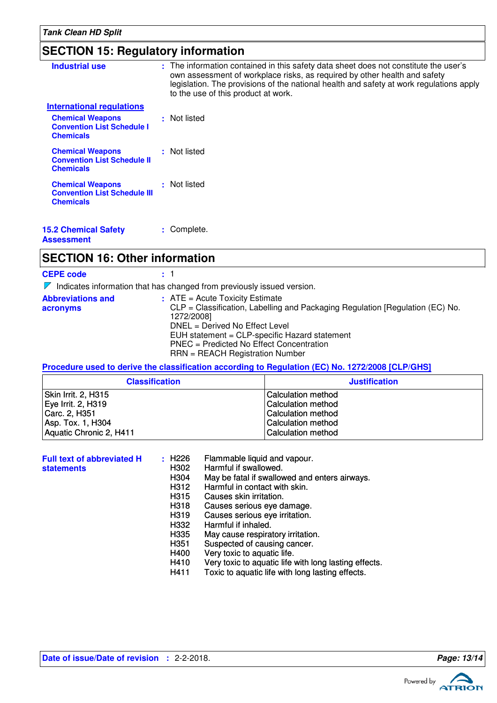# **SECTION 15: Regulatory information**

| <b>Industrial use</b>                                                              | : The information contained in this safety data sheet does not constitute the user's<br>own assessment of workplace risks, as required by other health and safety<br>legislation. The provisions of the national health and safety at work regulations apply<br>to the use of this product at work. |
|------------------------------------------------------------------------------------|-----------------------------------------------------------------------------------------------------------------------------------------------------------------------------------------------------------------------------------------------------------------------------------------------------|
| <b>International regulations</b>                                                   |                                                                                                                                                                                                                                                                                                     |
| <b>Chemical Weapons</b><br><b>Convention List Schedule I</b><br><b>Chemicals</b>   | : Not listed                                                                                                                                                                                                                                                                                        |
| <b>Chemical Weapons</b><br><b>Convention List Schedule II</b><br><b>Chemicals</b>  | : Not listed                                                                                                                                                                                                                                                                                        |
| <b>Chemical Weapons</b><br><b>Convention List Schedule III</b><br><b>Chemicals</b> | : Not listed                                                                                                                                                                                                                                                                                        |
| <b>15.2 Chemical Safety</b><br><b>Assessment</b>                                   | : Complete.                                                                                                                                                                                                                                                                                         |

# **SECTION 16: Other information**

| <b>CEPE code</b>                     | : 1                                                                                                                                                                                                                                                                                                |
|--------------------------------------|----------------------------------------------------------------------------------------------------------------------------------------------------------------------------------------------------------------------------------------------------------------------------------------------------|
|                                      | Indicates information that has changed from previously issued version.                                                                                                                                                                                                                             |
| <b>Abbreviations and</b><br>acronyms | $:$ ATE = Acute Toxicity Estimate<br>CLP = Classification, Labelling and Packaging Regulation [Regulation (EC) No.<br>1272/2008]<br>DNEL = Derived No Effect Level<br>EUH statement = CLP-specific Hazard statement<br>PNEC = Predicted No Effect Concentration<br>RRN = REACH Registration Number |

### **Procedure used to derive the classification according to Regulation (EC) No. 1272/2008 [CLP/GHS]**

| <b>Classification</b>   | <b>Justification</b>      |
|-------------------------|---------------------------|
| Skin Irrit. 2, H315     | <b>Calculation method</b> |
| Eye Irrit. 2, H319      | <b>Calculation method</b> |
| Carc. 2, H351           | <b>Calculation method</b> |
| Asp. Tox. 1, H304       | <b>Calculation method</b> |
| Aquatic Chronic 2, H411 | <b>Calculation method</b> |

| <b>Full text of abbreviated H</b> | : H226 | Flammable liquid and vapour.                          |
|-----------------------------------|--------|-------------------------------------------------------|
| <b>statements</b>                 | H302   | Harmful if swallowed.                                 |
|                                   | H304   | May be fatal if swallowed and enters airways.         |
|                                   | H312   | Harmful in contact with skin.                         |
|                                   | H315   | Causes skin irritation.                               |
|                                   | H318   | Causes serious eye damage.                            |
|                                   | H319   | Causes serious eye irritation.                        |
|                                   | H332   | Harmful if inhaled.                                   |
|                                   | H335   | May cause respiratory irritation.                     |
|                                   | H351   | Suspected of causing cancer.                          |
|                                   | H400   | Very toxic to aquatic life.                           |
|                                   | H410   | Very toxic to aquatic life with long lasting effects. |
|                                   | H411   | Toxic to aquatic life with long lasting effects.      |